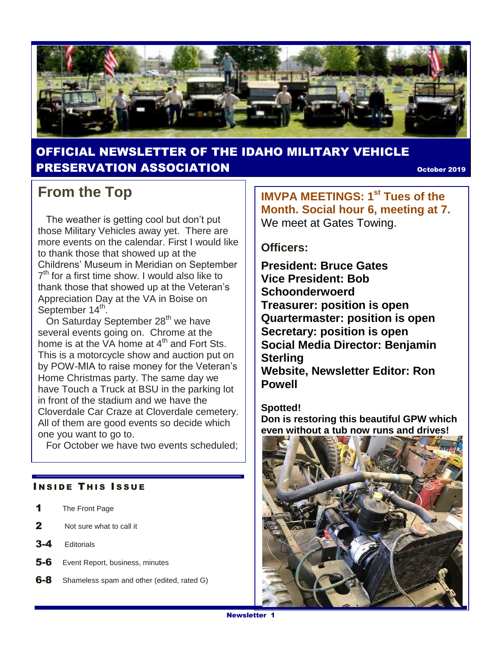

#### OFFICIAL NEWSLETTER OF THE IDAHO MILITARY VEHICLE PRESERVATION ASSOCIATION ASSOCIATION

### **From the Top**

 The weather is getting cool but don't put those Military Vehicles away yet. There are more events on the calendar. First I would like to thank those that showed up at the Childrens' Museum in Meridian on September 7<sup>th</sup> for a first time show. I would also like to thank those that showed up at the Veteran's Appreciation Day at the VA in Boise on September 14<sup>th</sup>.

On Saturday September 28<sup>th</sup> we have several events going on. Chrome at the home is at the VA home at  $4<sup>th</sup>$  and Fort Sts. This is a motorcycle show and auction put on by POW-MIA to raise money for the Veteran's Home Christmas party. The same day we have Touch a Truck at BSU in the parking lot in front of the stadium and we have the Cloverdale Car Craze at Cloverdale cemetery. All of them are good events so decide which one you want to go to.

For October we have two events scheduled;

#### **INSIDE THIS ISSUE**

- 1 The Front Page
- 2 Not sure what to call it
- 3-4 Editorials
- 5-6 Event Report, business, minutes
- **6-8** Shameless spam and other (edited, rated G)

**IMVPA MEETINGS: 1st Tues of the Month. Social hour 6, meeting at 7.**  We meet at Gates Towing.

#### **Officers:**

**President: Bruce Gates Vice President: Bob Schoonderwoerd Treasurer: position is open Quartermaster: position is open Secretary: position is open Social Media Director: Benjamin Sterling Website, Newsletter Editor: Ron Powell**

#### **Spotted!**

**Don is restoring this beautiful GPW which even without a tub now runs and drives!**

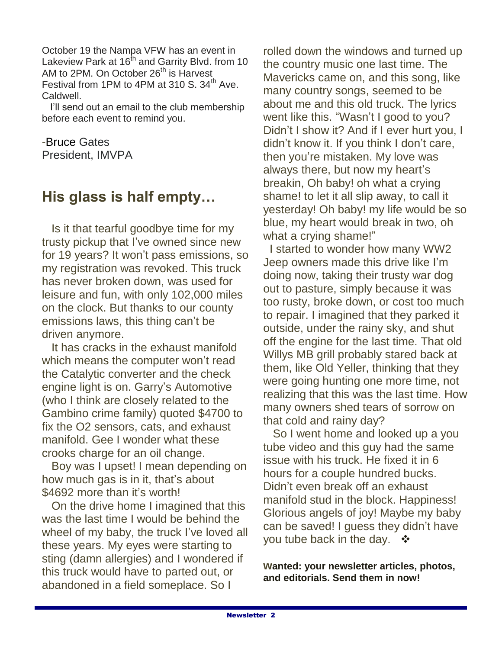October 19 the Nampa VFW has an event in Lakeview Park at  $16^{th}$  and Garrity Blvd. from 10 AM to 2PM. On October 26<sup>th</sup> is Harvest Festival from 1PM to 4PM at 310 S.  $34<sup>th</sup>$  Ave. Caldwell.

 I'll send out an email to the club membership before each event to remind you.

-Bruce Gates President, IMVPA

### **His glass is half empty…**

 Is it that tearful goodbye time for my trusty pickup that I've owned since new for 19 years? It won't pass emissions, so my registration was revoked. This truck has never broken down, was used for leisure and fun, with only 102,000 miles on the clock. But thanks to our county emissions laws, this thing can't be driven anymore.

 It has cracks in the exhaust manifold which means the computer won't read the Catalytic converter and the check engine light is on. Garry's Automotive (who I think are closely related to the Gambino crime family) quoted \$4700 to fix the O2 sensors, cats, and exhaust manifold. Gee I wonder what these crooks charge for an oil change.

 Boy was I upset! I mean depending on how much gas is in it, that's about \$4692 more than it's worth!

 On the drive home I imagined that this was the last time I would be behind the wheel of my baby, the truck I've loved all these years. My eyes were starting to sting (damn allergies) and I wondered if this truck would have to parted out, or abandoned in a field someplace. So I

rolled down the windows and turned up the country music one last time. The Mavericks came on, and this song, like many country songs, seemed to be about me and this old truck. The lyrics went like this. "Wasn't I good to you? Didn't I show it? And if I ever hurt you, I didn't know it. If you think I don't care, then you're mistaken. My love was always there, but now my heart's breakin, Oh baby! oh what a crying shame! to let it all slip away, to call it yesterday! Oh baby! my life would be so blue, my heart would break in two, oh what a crying shame!"

I started to wonder how many WW2 Jeep owners made this drive like I'm doing now, taking their trusty war dog out to pasture, simply because it was too rusty, broke down, or cost too much to repair. I imagined that they parked it outside, under the rainy sky, and shut off the engine for the last time. That old Willys MB grill probably stared back at them, like Old Yeller, thinking that they were going hunting one more time, not realizing that this was the last time. How many owners shed tears of sorrow on that cold and rainy day?

 So I went home and looked up a you tube video and this guy had the same issue with his truck. He fixed it in 6 hours for a couple hundred bucks. Didn't even break off an exhaust manifold stud in the block. Happiness! Glorious angels of joy! Maybe my baby can be saved! I guess they didn't have you tube back in the day.  $\cdot \cdot \cdot$ 

**wanted: your newsletter articles, photos, and editorials. Send them in now!**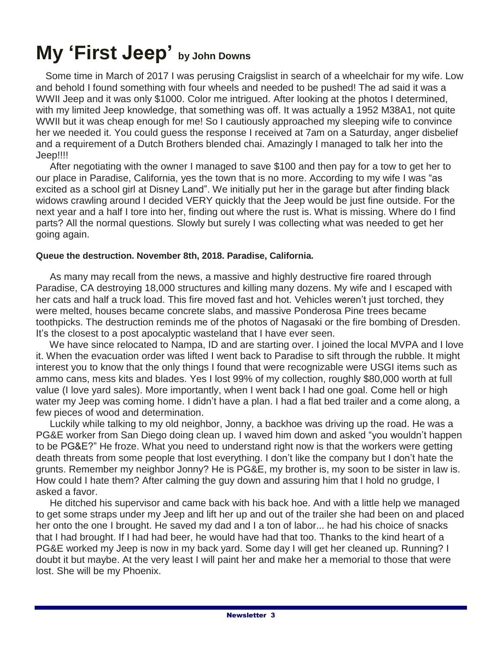# **My 'First Jeep' by John Downs**

 Some time in March of 2017 I was perusing Craigslist in search of a wheelchair for my wife. Low and behold I found something with four wheels and needed to be pushed! The ad said it was a WWII Jeep and it was only \$1000. Color me intrigued. After looking at the photos I determined, with my limited Jeep knowledge, that something was off. It was actually a 1952 M38A1, not quite WWII but it was cheap enough for me! So I cautiously approached my sleeping wife to convince her we needed it. You could guess the response I received at 7am on a Saturday, anger disbelief and a requirement of a Dutch Brothers blended chai. Amazingly I managed to talk her into the Jeep!!!!

 After negotiating with the owner I managed to save \$100 and then pay for a tow to get her to our place in Paradise, California, yes the town that is no more. According to my wife I was "as excited as a school girl at Disney Land". We initially put her in the garage but after finding black widows crawling around I decided VERY quickly that the Jeep would be just fine outside. For the next year and a half I tore into her, finding out where the rust is. What is missing. Where do I find parts? All the normal questions. Slowly but surely I was collecting what was needed to get her going again.

#### **Queue the destruction. November 8th, 2018. Paradise, California.**

 As many may recall from the news, a massive and highly destructive fire roared through Paradise, CA destroying 18,000 structures and killing many dozens. My wife and I escaped with her cats and half a truck load. This fire moved fast and hot. Vehicles weren't just torched, they were melted, houses became concrete slabs, and massive Ponderosa Pine trees became toothpicks. The destruction reminds me of the photos of Nagasaki or the fire bombing of Dresden. It's the closest to a post apocalyptic wasteland that I have ever seen.

We have since relocated to Nampa, ID and are starting over. I joined the local MVPA and I love it. When the evacuation order was lifted I went back to Paradise to sift through the rubble. It might interest you to know that the only things I found that were recognizable were USGI items such as ammo cans, mess kits and blades. Yes I lost 99% of my collection, roughly \$80,000 worth at full value (I love yard sales). More importantly, when I went back I had one goal. Come hell or high water my Jeep was coming home. I didn't have a plan. I had a flat bed trailer and a come along, a few pieces of wood and determination.

 Luckily while talking to my old neighbor, Jonny, a backhoe was driving up the road. He was a PG&E worker from San Diego doing clean up. I waved him down and asked "you wouldn't happen to be PG&E?" He froze. What you need to understand right now is that the workers were getting death threats from some people that lost everything. I don't like the company but I don't hate the grunts. Remember my neighbor Jonny? He is PG&E, my brother is, my soon to be sister in law is. How could I hate them? After calming the guy down and assuring him that I hold no grudge, I asked a favor.

 He ditched his supervisor and came back with his back hoe. And with a little help we managed to get some straps under my Jeep and lift her up and out of the trailer she had been on and placed her onto the one I brought. He saved my dad and I a ton of labor... he had his choice of snacks that I had brought. If I had had beer, he would have had that too. Thanks to the kind heart of a PG&E worked my Jeep is now in my back yard. Some day I will get her cleaned up. Running? I doubt it but maybe. At the very least I will paint her and make her a memorial to those that were lost. She will be my Phoenix.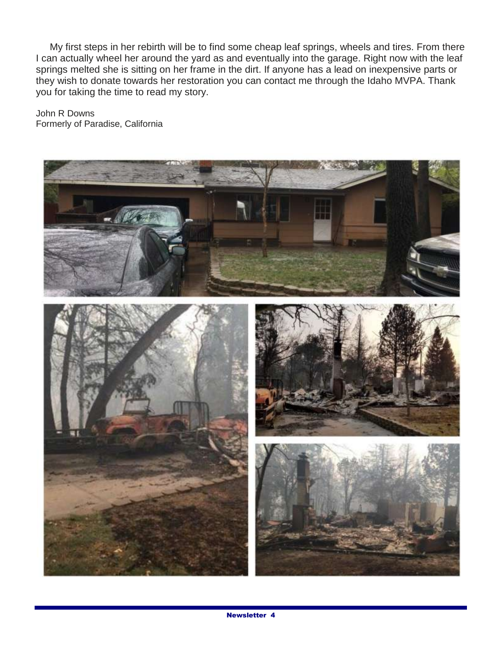My first steps in her rebirth will be to find some cheap leaf springs, wheels and tires. From there I can actually wheel her around the yard as and eventually into the garage. Right now with the leaf springs melted she is sitting on her frame in the dirt. If anyone has a lead on inexpensive parts or they wish to donate towards her restoration you can contact me through the Idaho MVPA. Thank you for taking the time to read my story.

John R Downs Formerly of Paradise, California

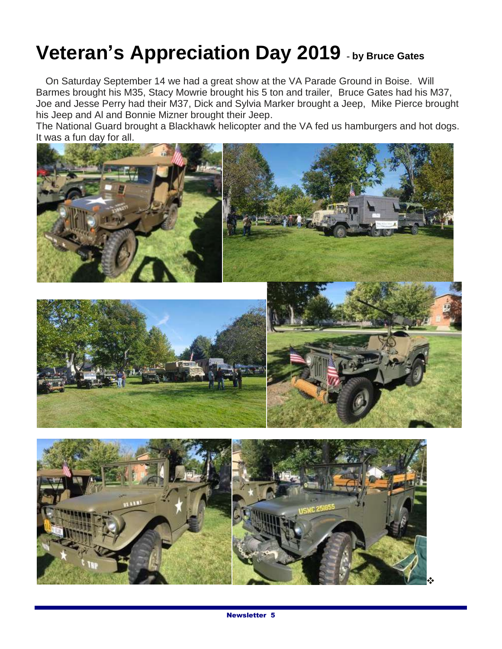# **Veteran's Appreciation Day 2019 - by Bruce Gates**

 On Saturday September 14 we had a great show at the VA Parade Ground in Boise. Will Barmes brought his M35, Stacy Mowrie brought his 5 ton and trailer, Bruce Gates had his M37, Joe and Jesse Perry had their M37, Dick and Sylvia Marker brought a Jeep, Mike Pierce brought his Jeep and Al and Bonnie Mizner brought their Jeep.

The National Guard brought a Blackhawk helicopter and the VA fed us hamburgers and hot dogs. It was a fun day for all.

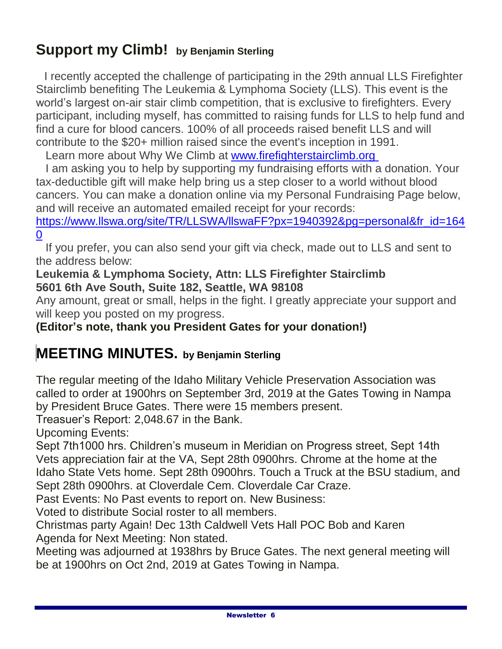### **Support my Climb! by Benjamin Sterling**

 I recently accepted the challenge of participating in the 29th annual LLS Firefighter Stairclimb benefiting The Leukemia & Lymphoma Society (LLS). This event is the world's largest on-air stair climb competition, that is exclusive to firefighters. Every participant, including myself, has committed to raising funds for LLS to help fund and find a cure for blood cancers. 100% of all proceeds raised benefit LLS and will contribute to the \$20+ million raised since the event's inception in 1991.

Learn more about Why We Climb at [www.firefighterstairclimb.org](http://www.firefighterstairclimb.org/)

 I am asking you to help by supporting my fundraising efforts with a donation. Your tax-deductible gift will make help bring us a step closer to a world without blood cancers. You can make a donation online via my Personal Fundraising Page below, and will receive an automated emailed receipt for your records:

[https://www.llswa.org/site/TR/LLSWA/llswaFF?px=1940392&pg=personal&fr\\_id=164](https://www.llswa.org/site/TR/LLSWA/llswaFF?px=1940392&pg=personal&fr_id=1640) [0](https://www.llswa.org/site/TR/LLSWA/llswaFF?px=1940392&pg=personal&fr_id=1640)

 If you prefer, you can also send your gift via check, made out to LLS and sent to the address below:

#### **Leukemia & Lymphoma Society, Attn: LLS Firefighter Stairclimb 5601 6th Ave South, Suite 182, Seattle, WA 98108**

Any amount, great or small, helps in the fight. I greatly appreciate your support and will keep you posted on my progress.

**(Editor's note, thank you President Gates for your donation!)**

### **MEETING MINUTES. by Benjamin Sterling**

The regular meeting of the Idaho Military Vehicle Preservation Association was called to order at 1900hrs on September 3rd, 2019 at the Gates Towing in Nampa by President Bruce Gates. There were 15 members present.

Treasuer's Report: 2,048.67 in the Bank.

Upcoming Events:

Sept 7th1000 hrs. Children's museum in Meridian on Progress street, Sept 14th Vets appreciation fair at the VA, Sept 28th 0900hrs. Chrome at the home at the Idaho State Vets home. Sept 28th 0900hrs. Touch a Truck at the BSU stadium, and Sept 28th 0900hrs. at Cloverdale Cem. Cloverdale Car Craze.

Past Events: No Past events to report on. New Business:

Voted to distribute Social roster to all members.

Christmas party Again! Dec 13th Caldwell Vets Hall POC Bob and Karen Agenda for Next Meeting: Non stated.

Meeting was adjourned at 1938hrs by Bruce Gates. The next general meeting will be at 1900hrs on Oct 2nd, 2019 at Gates Towing in Nampa.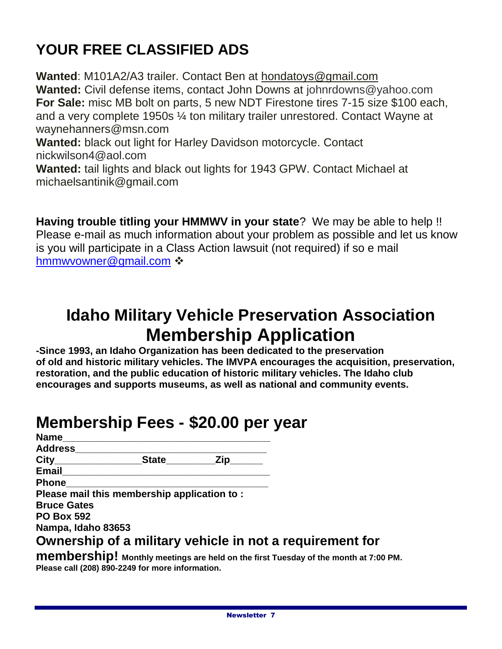## **YOUR FREE CLASSIFIED ADS**

**Wanted**: M101A2/A3 trailer. Contact Ben at hondatoys@gmail.com **Wanted:** Civil defense items, contact John Downs at johnrdowns@yahoo.com **For Sale:** misc MB bolt on parts, 5 new NDT Firestone tires 7-15 size \$100 each, and a very complete 1950s ¼ ton military trailer unrestored. Contact Wayne at waynehanners@msn.com **Wanted:** black out light for Harley Davidson motorcycle. Contact

nickwilson4@aol.com

**Wanted:** tail lights and black out lights for 1943 GPW. Contact Michael at michaelsantinik@gmail.com

**Having trouble titling your HMMWV in your state**? We may be able to help !! Please e-mail as much information about your problem as possible and let us know is you will participate in a Class Action lawsuit (not required) if so e mail [hmmwvowner@gmail.com](mailto:hmmwvowner@gmail.com)

# **Idaho Military Vehicle Preservation Association Membership Application**

**-Since 1993, an Idaho Organization has been dedicated to the preservation of old and historic military vehicles. The IMVPA encourages the acquisition, preservation, restoration, and the public education of historic military vehicles. The Idaho club encourages and supports museums, as well as national and community events.**

## **Membership Fees - \$20.00 per year**

| <b>Name</b>               |                                             |     |                                                          |
|---------------------------|---------------------------------------------|-----|----------------------------------------------------------|
| <b>Address</b>            |                                             |     |                                                          |
| $City$ <sub>_______</sub> | <b>State</b>                                | Zip |                                                          |
| <b>Email</b>              |                                             |     |                                                          |
| <b>Phone</b>              |                                             |     |                                                          |
|                           | Please mail this membership application to: |     |                                                          |
| <b>Bruce Gates</b>        |                                             |     |                                                          |
| <b>PO Box 592</b>         |                                             |     |                                                          |
| Nampa, Idaho 83653        |                                             |     |                                                          |
|                           |                                             |     | Ourseach in at a militam unkiels in not a neautrepresent |

### **Ownership of a military vehicle in not a requirement for**

**membership! Monthly meetings are held on the first Tuesday of the month at 7:00 PM. Please call (208) 890-2249 for more information.**